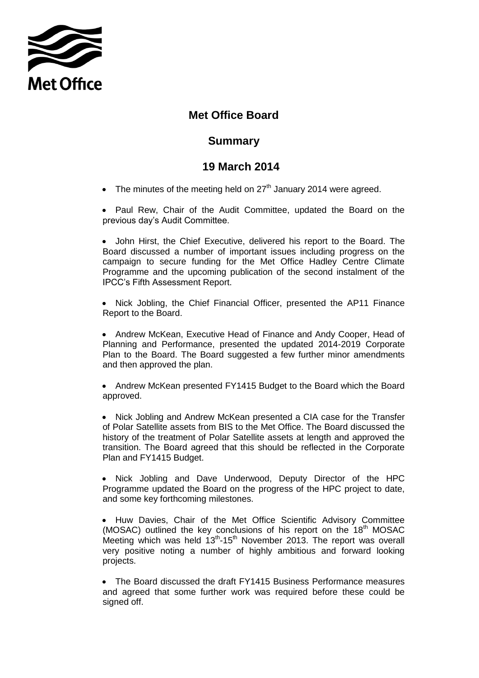

## **Met Office Board**

## **Summary**

## **19 March 2014**

- The minutes of the meeting held on  $27<sup>th</sup>$  January 2014 were agreed.
- Paul Rew, Chair of the Audit Committee, updated the Board on the previous day's Audit Committee.
- John Hirst, the Chief Executive, delivered his report to the Board. The Board discussed a number of important issues including progress on the campaign to secure funding for the Met Office Hadley Centre Climate Programme and the upcoming publication of the second instalment of the IPCC's Fifth Assessment Report.

• Nick Jobling, the Chief Financial Officer, presented the AP11 Finance Report to the Board.

• Andrew McKean, Executive Head of Finance and Andy Cooper, Head of Planning and Performance, presented the updated 2014-2019 Corporate Plan to the Board. The Board suggested a few further minor amendments and then approved the plan.

 Andrew McKean presented FY1415 Budget to the Board which the Board approved.

• Nick Jobling and Andrew McKean presented a CIA case for the Transfer of Polar Satellite assets from BIS to the Met Office. The Board discussed the history of the treatment of Polar Satellite assets at length and approved the transition. The Board agreed that this should be reflected in the Corporate Plan and FY1415 Budget.

• Nick Jobling and Dave Underwood, Deputy Director of the HPC Programme updated the Board on the progress of the HPC project to date, and some key forthcoming milestones.

 Huw Davies, Chair of the Met Office Scientific Advisory Committee (MOSAC) outlined the key conclusions of his report on the  $18<sup>th</sup>$  MOSAC Meeting which was held  $13<sup>th</sup>$ -15<sup>th</sup> November 2013. The report was overall very positive noting a number of highly ambitious and forward looking projects.

 The Board discussed the draft FY1415 Business Performance measures and agreed that some further work was required before these could be signed off.